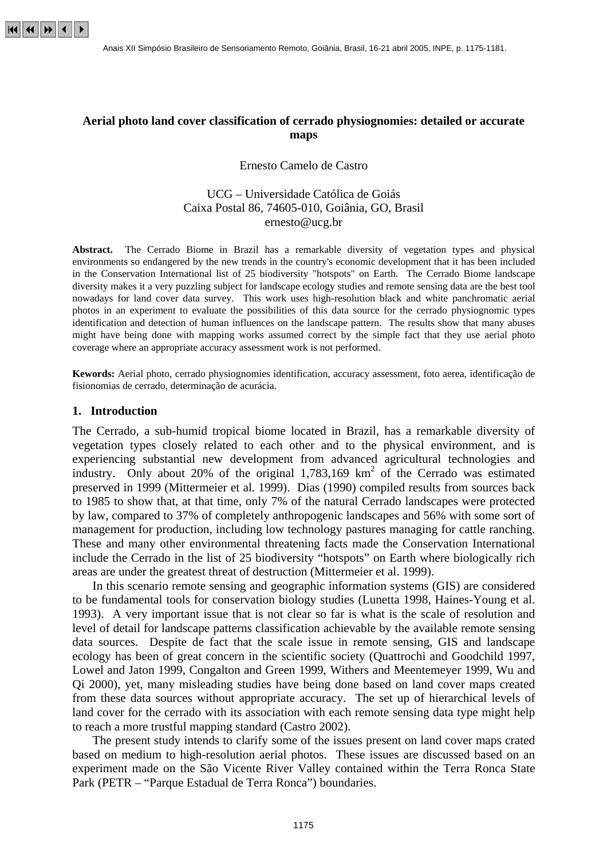

# **Aerial photo land cover classification of cerrado physiognomies: detailed or accurate maps**

#### Ernesto Camelo de Castro

## UCG – Universidade Católica de Goiás Caixa Postal 86, 74605-010, Goiânia, GO, Brasil ernesto@ucg.br

**Abstract.** The Cerrado Biome in Brazil has a remarkable diversity of vegetation types and physical environments so endangered by the new trends in the country's economic development that it has been included in the Conservation International list of 25 biodiversity "hotspots" on Earth. The Cerrado Biome landscape diversity makes it a very puzzling subject for landscape ecology studies and remote sensing data are the best tool nowadays for land cover data survey. This work uses high-resolution black and white panchromatic aerial photos in an experiment to evaluate the possibilities of this data source for the cerrado physiognomic types identification and detection of human influences on the landscape pattern. The results show that many abuses might have being done with mapping works assumed correct by the simple fact that they use aerial photo coverage where an appropriate accuracy assessment work is not performed.

**Kewords:** Aerial photo, cerrado physiognomies identification, accuracy assessment, foto aerea, identificação de fisionomias de cerrado, determinação de acurácia.

#### **1. Introduction**

The Cerrado, a sub-humid tropical biome located in Brazil, has a remarkable diversity of vegetation types closely related to each other and to the physical environment, and is experiencing substantial new development from advanced agricultural technologies and industry. Only about 20% of the original  $1,783,169$  km<sup>2</sup> of the Cerrado was estimated preserved in 1999 (Mittermeier et al. 1999). Dias (1990) compiled results from sources back to 1985 to show that, at that time, only 7% of the natural Cerrado landscapes were protected by law, compared to 37% of completely anthropogenic landscapes and 56% with some sort of management for production, including low technology pastures managing for cattle ranching. These and many other environmental threatening facts made the Conservation International include the Cerrado in the list of 25 biodiversity "hotspots" on Earth where biologically rich areas are under the greatest threat of destruction (Mittermeier et al. 1999).

 In this scenario remote sensing and geographic information systems (GIS) are considered to be fundamental tools for conservation biology studies (Lunetta 1998, Haines-Young et al. 1993). A very important issue that is not clear so far is what is the scale of resolution and level of detail for landscape patterns classification achievable by the available remote sensing data sources. Despite de fact that the scale issue in remote sensing, GIS and landscape ecology has been of great concern in the scientific society (Quattrochi and Goodchild 1997, Lowel and Jaton 1999, Congalton and Green 1999, Withers and Meentemeyer 1999, Wu and Qi 2000), yet, many misleading studies have being done based on land cover maps created from these data sources without appropriate accuracy. The set up of hierarchical levels of land cover for the cerrado with its association with each remote sensing data type might help to reach a more trustful mapping standard (Castro 2002).

 The present study intends to clarify some of the issues present on land cover maps crated based on medium to high-resolution aerial photos. These issues are discussed based on an experiment made on the São Vicente River Valley contained within the Terra Ronca State Park (PETR – "Parque Estadual de Terra Ronca") boundaries.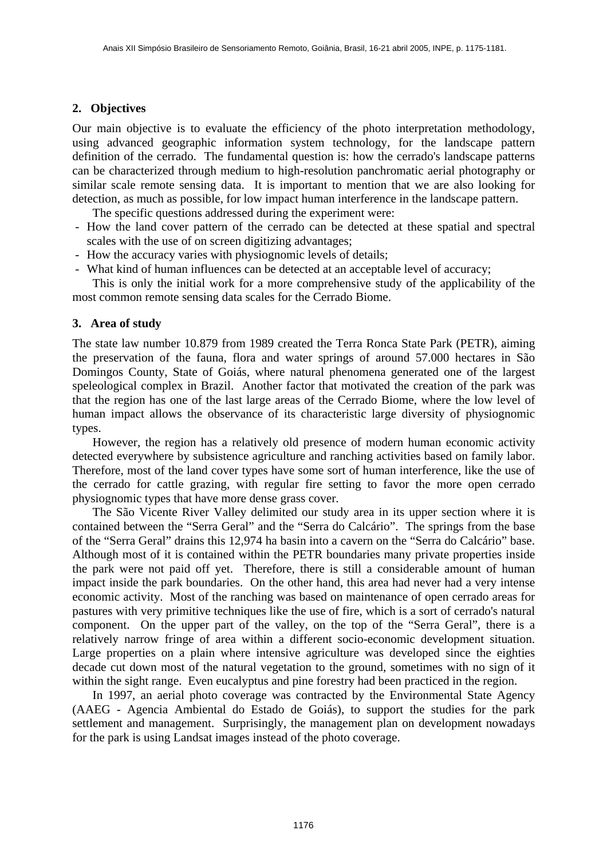# **2. Objectives**

Our main objective is to evaluate the efficiency of the photo interpretation methodology, using advanced geographic information system technology, for the landscape pattern definition of the cerrado. The fundamental question is: how the cerrado's landscape patterns can be characterized through medium to high-resolution panchromatic aerial photography or similar scale remote sensing data. It is important to mention that we are also looking for detection, as much as possible, for low impact human interference in the landscape pattern.

The specific questions addressed during the experiment were:

- How the land cover pattern of the cerrado can be detected at these spatial and spectral scales with the use of on screen digitizing advantages;
- How the accuracy varies with physiognomic levels of details;
- What kind of human influences can be detected at an acceptable level of accuracy;

 This is only the initial work for a more comprehensive study of the applicability of the most common remote sensing data scales for the Cerrado Biome.

# **3. Area of study**

The state law number 10.879 from 1989 created the Terra Ronca State Park (PETR), aiming the preservation of the fauna, flora and water springs of around 57.000 hectares in São Domingos County, State of Goiás, where natural phenomena generated one of the largest speleological complex in Brazil. Another factor that motivated the creation of the park was that the region has one of the last large areas of the Cerrado Biome, where the low level of human impact allows the observance of its characteristic large diversity of physiognomic types.

 However, the region has a relatively old presence of modern human economic activity detected everywhere by subsistence agriculture and ranching activities based on family labor. Therefore, most of the land cover types have some sort of human interference, like the use of the cerrado for cattle grazing, with regular fire setting to favor the more open cerrado physiognomic types that have more dense grass cover.

 The São Vicente River Valley delimited our study area in its upper section where it is contained between the "Serra Geral" and the "Serra do Calcário". The springs from the base of the "Serra Geral" drains this 12,974 ha basin into a cavern on the "Serra do Calcário" base. Although most of it is contained within the PETR boundaries many private properties inside the park were not paid off yet. Therefore, there is still a considerable amount of human impact inside the park boundaries. On the other hand, this area had never had a very intense economic activity. Most of the ranching was based on maintenance of open cerrado areas for pastures with very primitive techniques like the use of fire, which is a sort of cerrado's natural component. On the upper part of the valley, on the top of the "Serra Geral", there is a relatively narrow fringe of area within a different socio-economic development situation. Large properties on a plain where intensive agriculture was developed since the eighties decade cut down most of the natural vegetation to the ground, sometimes with no sign of it within the sight range. Even eucalyptus and pine forestry had been practiced in the region.

 In 1997, an aerial photo coverage was contracted by the Environmental State Agency (AAEG - Agencia Ambiental do Estado de Goiás), to support the studies for the park settlement and management. Surprisingly, the management plan on development nowadays for the park is using Landsat images instead of the photo coverage.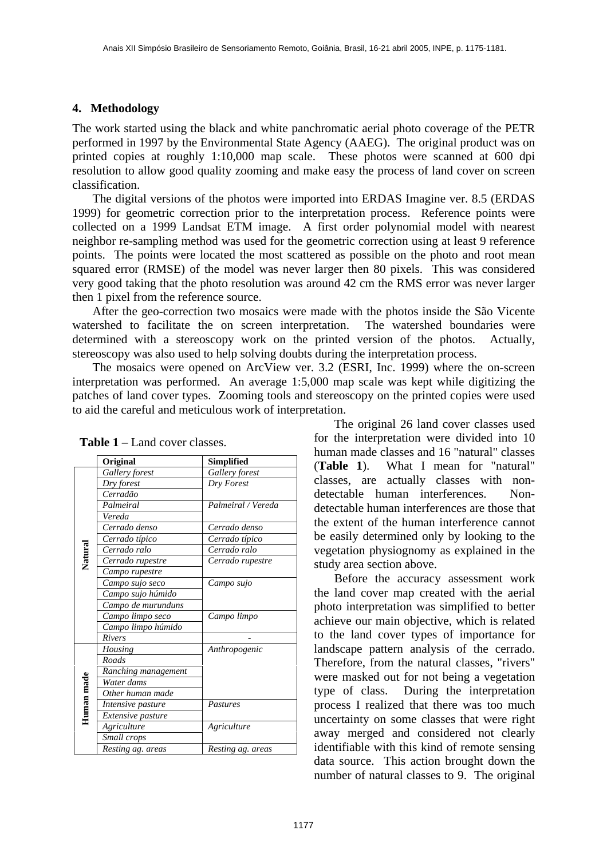## **4. Methodology**

The work started using the black and white panchromatic aerial photo coverage of the PETR performed in 1997 by the Environmental State Agency (AAEG). The original product was on printed copies at roughly 1:10,000 map scale. These photos were scanned at 600 dpi resolution to allow good quality zooming and make easy the process of land cover on screen classification.

 The digital versions of the photos were imported into ERDAS Imagine ver. 8.5 (ERDAS 1999) for geometric correction prior to the interpretation process. Reference points were collected on a 1999 Landsat ETM image. A first order polynomial model with nearest neighbor re-sampling method was used for the geometric correction using at least 9 reference points. The points were located the most scattered as possible on the photo and root mean squared error (RMSE) of the model was never larger then 80 pixels. This was considered very good taking that the photo resolution was around 42 cm the RMS error was never larger then 1 pixel from the reference source.

 After the geo-correction two mosaics were made with the photos inside the São Vicente watershed to facilitate the on screen interpretation. The watershed boundaries were determined with a stereoscopy work on the printed version of the photos. Actually, stereoscopy was also used to help solving doubts during the interpretation process.

 The mosaics were opened on ArcView ver. 3.2 (ESRI, Inc. 1999) where the on-screen interpretation was performed. An average 1:5,000 map scale was kept while digitizing the patches of land cover types. Zooming tools and stereoscopy on the printed copies were used to aid the careful and meticulous work of interpretation.

|            | Original            | <b>Simplified</b>  |
|------------|---------------------|--------------------|
| Natural    |                     |                    |
|            | Gallery forest      | Gallery forest     |
|            | Dry forest          | Dry Forest         |
|            | Cerradão            |                    |
|            | Palmeiral           | Palmeiral / Vereda |
|            | Vereda              |                    |
|            | Cerrado denso       | Cerrado denso      |
|            | Cerrado típico      | Cerrado típico     |
|            | Cerrado ralo        | Cerrado ralo       |
|            | Cerrado rupestre    | Cerrado rupestre   |
|            | Campo rupestre      |                    |
|            | Campo sujo seco     | Campo sujo         |
|            | Campo sujo húmido   |                    |
|            | Campo de murunduns  |                    |
|            | Campo limpo seco    | Campo limpo        |
|            | Campo limpo húmido  |                    |
|            | Rivers              |                    |
| Human made | Housing             | Anthropogenic      |
|            | <b>Roads</b>        |                    |
|            | Ranching management |                    |
|            | Water dams          |                    |
|            | Other human made    |                    |
|            | Intensive pasture   | Pastures           |
|            | Extensive pasture   |                    |
|            | Agriculture         | Agriculture        |
|            | Small crops         |                    |
|            | Resting ag. areas   | Resting ag. areas  |

**Table 1** – Land cover classes.

 The original 26 land cover classes used for the interpretation were divided into 10 human made classes and 16 "natural" classes (**Table 1**). What I mean for "natural" classes, are actually classes with nondetectable human interferences. Nondetectable human interferences are those that the extent of the human interference cannot be easily determined only by looking to the vegetation physiognomy as explained in the study area section above.

 Before the accuracy assessment work the land cover map created with the aerial photo interpretation was simplified to better achieve our main objective, which is related to the land cover types of importance for landscape pattern analysis of the cerrado. Therefore, from the natural classes, "rivers" were masked out for not being a vegetation type of class. During the interpretation process I realized that there was too much uncertainty on some classes that were right away merged and considered not clearly identifiable with this kind of remote sensing data source. This action brought down the number of natural classes to 9. The original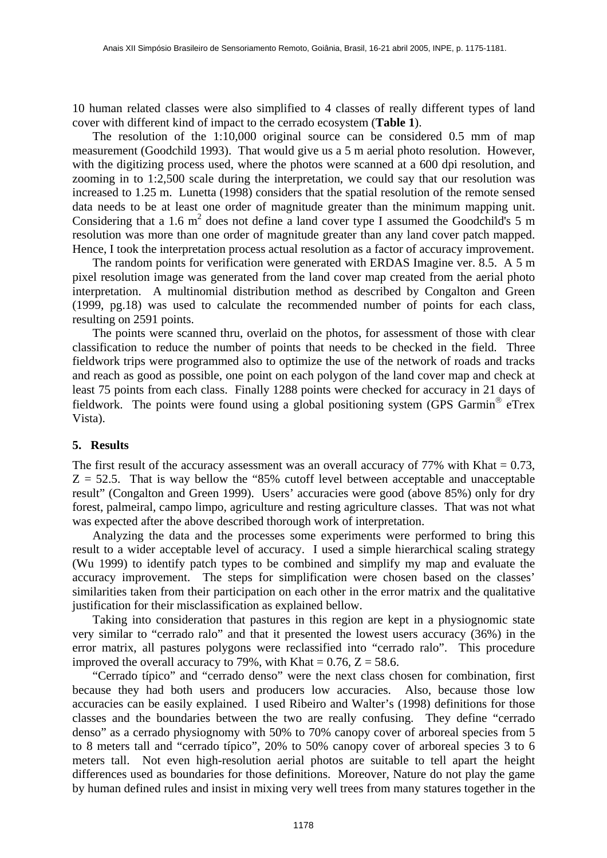10 human related classes were also simplified to 4 classes of really different types of land cover with different kind of impact to the cerrado ecosystem (**Table 1**).

 The resolution of the 1:10,000 original source can be considered 0.5 mm of map measurement (Goodchild 1993). That would give us a 5 m aerial photo resolution. However, with the digitizing process used, where the photos were scanned at a 600 dpi resolution, and zooming in to 1:2,500 scale during the interpretation, we could say that our resolution was increased to 1.25 m. Lunetta (1998) considers that the spatial resolution of the remote sensed data needs to be at least one order of magnitude greater than the minimum mapping unit. Considering that a 1.6  $m^2$  does not define a land cover type I assumed the Goodchild's 5 m resolution was more than one order of magnitude greater than any land cover patch mapped. Hence, I took the interpretation process actual resolution as a factor of accuracy improvement.

 The random points for verification were generated with ERDAS Imagine ver. 8.5. A 5 m pixel resolution image was generated from the land cover map created from the aerial photo interpretation. A multinomial distribution method as described by Congalton and Green (1999, pg.18) was used to calculate the recommended number of points for each class, resulting on 2591 points.

 The points were scanned thru, overlaid on the photos, for assessment of those with clear classification to reduce the number of points that needs to be checked in the field. Three fieldwork trips were programmed also to optimize the use of the network of roads and tracks and reach as good as possible, one point on each polygon of the land cover map and check at least 75 points from each class. Finally 1288 points were checked for accuracy in 21 days of fieldwork. The points were found using a global positioning system (GPS Garmin<sup>®</sup> eTrex Vista).

## **5. Results**

The first result of the accuracy assessment was an overall accuracy of  $77\%$  with Khat = 0.73,  $Z = 52.5$ . That is way bellow the "85% cutoff level between acceptable and unacceptable result" (Congalton and Green 1999). Users' accuracies were good (above 85%) only for dry forest, palmeiral, campo limpo, agriculture and resting agriculture classes. That was not what was expected after the above described thorough work of interpretation.

 Analyzing the data and the processes some experiments were performed to bring this result to a wider acceptable level of accuracy. I used a simple hierarchical scaling strategy (Wu 1999) to identify patch types to be combined and simplify my map and evaluate the accuracy improvement. The steps for simplification were chosen based on the classes' similarities taken from their participation on each other in the error matrix and the qualitative justification for their misclassification as explained bellow.

 Taking into consideration that pastures in this region are kept in a physiognomic state very similar to "cerrado ralo" and that it presented the lowest users accuracy (36%) in the error matrix, all pastures polygons were reclassified into "cerrado ralo". This procedure improved the overall accuracy to 79%, with Khat =  $0.76$ ,  $Z = 58.6$ .

 "Cerrado típico" and "cerrado denso" were the next class chosen for combination, first because they had both users and producers low accuracies. Also, because those low accuracies can be easily explained. I used Ribeiro and Walter's (1998) definitions for those classes and the boundaries between the two are really confusing. They define "cerrado denso" as a cerrado physiognomy with 50% to 70% canopy cover of arboreal species from 5 to 8 meters tall and "cerrado típico", 20% to 50% canopy cover of arboreal species 3 to 6 meters tall. Not even high-resolution aerial photos are suitable to tell apart the height differences used as boundaries for those definitions. Moreover, Nature do not play the game by human defined rules and insist in mixing very well trees from many statures together in the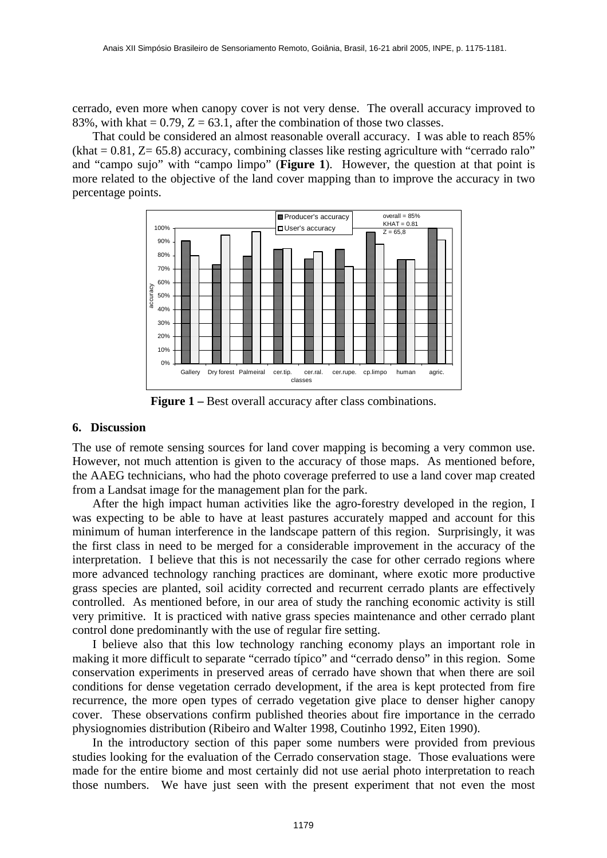cerrado, even more when canopy cover is not very dense. The overall accuracy improved to 83%, with khat =  $0.79$ ,  $Z = 63.1$ , after the combination of those two classes.

 That could be considered an almost reasonable overall accuracy. I was able to reach 85%  $(khat = 0.81, Z = 65.8)$  accuracy, combining classes like resting agriculture with "cerrado ralo" and "campo sujo" with "campo limpo" (**Figure 1**). However, the question at that point is more related to the objective of the land cover mapping than to improve the accuracy in two percentage points.



**Figure 1** – Best overall accuracy after class combinations.

#### **6. Discussion**

The use of remote sensing sources for land cover mapping is becoming a very common use. However, not much attention is given to the accuracy of those maps. As mentioned before, the AAEG technicians, who had the photo coverage preferred to use a land cover map created from a Landsat image for the management plan for the park.

 After the high impact human activities like the agro-forestry developed in the region, I was expecting to be able to have at least pastures accurately mapped and account for this minimum of human interference in the landscape pattern of this region. Surprisingly, it was the first class in need to be merged for a considerable improvement in the accuracy of the interpretation. I believe that this is not necessarily the case for other cerrado regions where more advanced technology ranching practices are dominant, where exotic more productive grass species are planted, soil acidity corrected and recurrent cerrado plants are effectively controlled. As mentioned before, in our area of study the ranching economic activity is still very primitive. It is practiced with native grass species maintenance and other cerrado plant control done predominantly with the use of regular fire setting.

 I believe also that this low technology ranching economy plays an important role in making it more difficult to separate "cerrado típico" and "cerrado denso" in this region. Some conservation experiments in preserved areas of cerrado have shown that when there are soil conditions for dense vegetation cerrado development, if the area is kept protected from fire recurrence, the more open types of cerrado vegetation give place to denser higher canopy cover. These observations confirm published theories about fire importance in the cerrado physiognomies distribution (Ribeiro and Walter 1998, Coutinho 1992, Eiten 1990).

 In the introductory section of this paper some numbers were provided from previous studies looking for the evaluation of the Cerrado conservation stage. Those evaluations were made for the entire biome and most certainly did not use aerial photo interpretation to reach those numbers. We have just seen with the present experiment that not even the most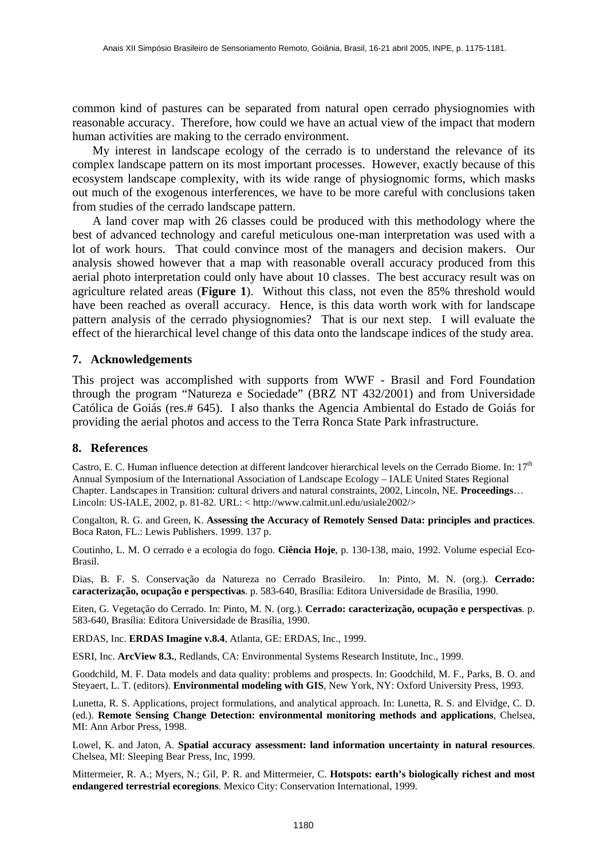common kind of pastures can be separated from natural open cerrado physiognomies with reasonable accuracy. Therefore, how could we have an actual view of the impact that modern human activities are making to the cerrado environment.

 My interest in landscape ecology of the cerrado is to understand the relevance of its complex landscape pattern on its most important processes. However, exactly because of this ecosystem landscape complexity, with its wide range of physiognomic forms, which masks out much of the exogenous interferences, we have to be more careful with conclusions taken from studies of the cerrado landscape pattern.

 A land cover map with 26 classes could be produced with this methodology where the best of advanced technology and careful meticulous one-man interpretation was used with a lot of work hours. That could convince most of the managers and decision makers. Our analysis showed however that a map with reasonable overall accuracy produced from this aerial photo interpretation could only have about 10 classes. The best accuracy result was on agriculture related areas (**Figure 1**). Without this class, not even the 85% threshold would have been reached as overall accuracy. Hence, is this data worth work with for landscape pattern analysis of the cerrado physiognomies? That is our next step. I will evaluate the effect of the hierarchical level change of this data onto the landscape indices of the study area.

## **7. Acknowledgements**

This project was accomplished with supports from WWF - Brasil and Ford Foundation through the program "Natureza e Sociedade" (BRZ NT 432/2001) and from Universidade Católica de Goiás (res.# 645). I also thanks the Agencia Ambiental do Estado de Goiás for providing the aerial photos and access to the Terra Ronca State Park infrastructure.

#### **8. References**

Castro, E. C. Human influence detection at different landcover hierarchical levels on the Cerrado Biome. In: 17<sup>th</sup> Annual Symposium of the International Association of Landscape Ecology – IALE United States Regional Chapter. Landscapes in Transition: cultural drivers and natural constraints, 2002, Lincoln, NE. **Proceedings**… Lincoln: US-IALE, 2002, p. 81-82. URL: < http://www.calmit.unl.edu/usiale2002/>

Congalton, R. G. and Green, K. **Assessing the Accuracy of Remotely Sensed Data: principles and practices**. Boca Raton, FL.: Lewis Publishers. 1999. 137 p.

Coutinho, L. M. O cerrado e a ecologia do fogo. **Ciência Hoje**, p. 130-138, maio, 1992. Volume especial Eco-Brasil.

Dias, B. F. S. Conservação da Natureza no Cerrado Brasileiro. In: Pinto, M. N. (org.). **Cerrado: caracterização, ocupação e perspectivas**. p. 583-640, Brasília: Editora Universidade de Brasília, 1990.

Eiten, G. Vegetação do Cerrado. In: Pinto, M. N. (org.). **Cerrado: caracterização, ocupação e perspectivas**. p. 583-640, Brasília: Editora Universidade de Brasília, 1990.

ERDAS, Inc. **ERDAS Imagine v.8.4**, Atlanta, GE: ERDAS, Inc., 1999.

ESRI, Inc. **ArcView 8.3.**, Redlands, CA: Environmental Systems Research Institute, Inc., 1999.

Goodchild, M. F. Data models and data quality: problems and prospects. In: Goodchild, M. F., Parks, B. O. and Steyaert, L. T. (editors). **Environmental modeling with GIS***,* New York, NY: Oxford University Press, 1993.

Lunetta, R. S. Applications, project formulations, and analytical approach. In: Lunetta, R. S. and Elvidge, C. D. (ed.). **Remote Sensing Change Detection: environmental monitoring methods and applications**, Chelsea, MI: Ann Arbor Press, 1998.

Lowel, K. and Jaton, A. **Spatial accuracy assessment: land information uncertainty in natural resources**. Chelsea, MI: Sleeping Bear Press, Inc, 1999.

Mittermeier, R. A.; Myers, N.; Gil, P. R. and Mittermeier, C. **Hotspots: earth's biologically richest and most endangered terrestrial ecoregions**. Mexico City: Conservation International, 1999.